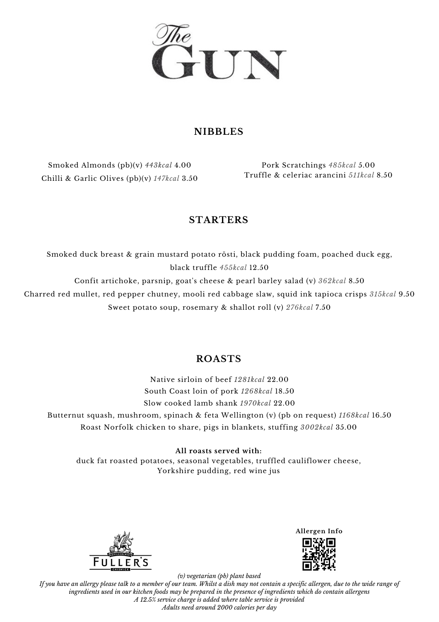

#### **NIBBLES**

Smoked Almonds (pb)(v) *443kcal* 4.00 Chilli & Garlic Olives (pb)(v) *147kcal* 3.50

Pork Scratchings *485kcal* 5.00 Truffle & celeriac arancini *511kcal* 8.50

### **STARTERS**

Smoked duck breast & grain mustard potato rösti, black pudding foam, poached duck egg, black truffle *455kcal* 12.50 Confit artichoke, parsnip, goat's cheese & pearl barley salad (v) *362kcal* 8.50

Charred red mullet, red pepper chutney, mooli red cabbage slaw, squid ink tapioca crisps *315kcal* 9.50

Sweet potato soup, rosemary & shallot roll (v) *276kcal* 7.50

### **ROASTS**

Native sirloin of beef *1281kcal* 22.00 South Coast loin of pork *1268kcal* 18.50 Slow cooked lamb shank *1970kcal* 22.00 Butternut squash, mushroom, spinach & feta Wellington (v) (pb on request) *1168kcal* 16.50 Roast Norfolk chicken to share, pigs in blankets, stuffing *3002kcal* 35.00

**All roasts served with:**

duck fat roasted potatoes, seasonal vegetables, truffled cauliflower cheese, Yorkshire pudding, red wine jus



**Allergen Info**

*(v) vegetarian (pb) plant based*

If you have an allergy please talk to a member of our team. Whilst a dish may not contain a specific allergen, due to the wide range of ingredients used in our kitchen foods may be prepared in the presence of ingredients which do contain allergens *A 12.5% service charge is added where table service is provided Adults need around 2000 calories per day*